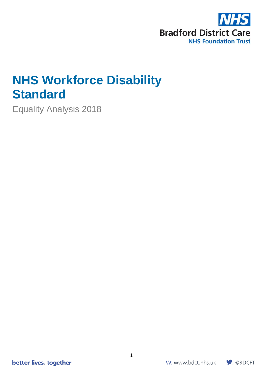

# **NHS Workforce Disability Standard**

Equality Analysis 2018

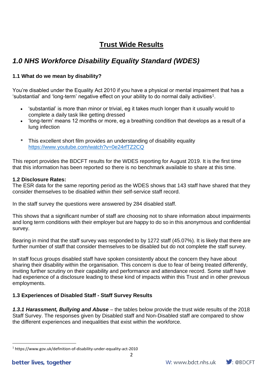# **Trust Wide Results**

# *1.0 NHS Workforce Disability Equality Standard (WDES)*

## **1.1 What do we mean by disability?**

You're disabled under the Equality Act 2010 if you have a physical or mental impairment that has a 'substantial' and 'long-term' negative effect on your ability to do normal daily activities $^{\rm 1}.$ 

- 'substantial' is more than minor or trivial, eg it takes much longer than it usually would to complete a daily task like getting dressed
- 'long-term' means 12 months or more, eg a breathing condition that develops as a result of a lung infection
- This excellent short film provides an understanding of disability equality <https://www.youtube.com/watch?v=0e24rfTZ2CQ>

This report provides the BDCFT results for the WDES reporting for August 2019. It is the first time that this information has been reported so there is no benchmark available to share at this time.

## **1.2 Disclosure Rates:**

The ESR data for the same reporting period as the WDES shows that 143 staff have shared that they consider themselves to be disabled within their self-service staff record.

In the staff survey the questions were answered by 284 disabled staff.

This shows that a significant number of staff are choosing not to share information about impairments and long term conditions with their employer but are happy to do so in this anonymous and confidential survey.

Bearing in mind that the staff survey was responded to by 1272 staff (45.07%). It is likely that there are further number of staff that consider themselves to be disabled but do not complete the staff survey.

In staff focus groups disabled staff have spoken consistently about the concern they have about sharing their disability within the organisation. This concern is due to fear of being treated differently, inviting further scrutiny on their capability and performance and attendance record. Some staff have had experience of a disclosure leading to these kind of impacts within this Trust and in other previous employments.

## **1.3 Experiences of Disabled Staff - Staff Survey Results**

*1.3.1 Harassment, Bullying and Abuse* – the tables below provide the trust wide results of the 2018 Staff Survey. The responses given by Disabled staff and Non-Disabled staff are compared to show the different experiences and inequalities that exist within the workforce.



<sup>1</sup> https://www.gov.uk/definition-of-disability-under-equality-act-2010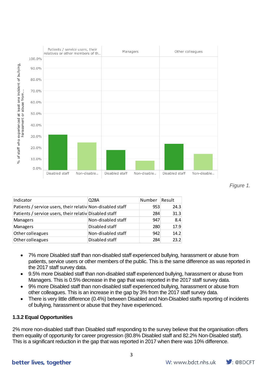

*Figure 1.*

| Indicator                                                                                                                                                                                                                                                                                                                                                                                                                                                                                                                                                                          | Q <sub>28</sub> A  | Number | Result |  |
|------------------------------------------------------------------------------------------------------------------------------------------------------------------------------------------------------------------------------------------------------------------------------------------------------------------------------------------------------------------------------------------------------------------------------------------------------------------------------------------------------------------------------------------------------------------------------------|--------------------|--------|--------|--|
| Patients / service users, their relativ Non-disabled staff                                                                                                                                                                                                                                                                                                                                                                                                                                                                                                                         |                    | 953    | 24.3   |  |
| Patients / service users, their relativ Disabled staff                                                                                                                                                                                                                                                                                                                                                                                                                                                                                                                             |                    | 284    | 31.3   |  |
| Managers                                                                                                                                                                                                                                                                                                                                                                                                                                                                                                                                                                           | Non-disabled staff | 947    | 8.4    |  |
| Managers                                                                                                                                                                                                                                                                                                                                                                                                                                                                                                                                                                           | Disabled staff     | 280    | 17.9   |  |
| Other colleagues                                                                                                                                                                                                                                                                                                                                                                                                                                                                                                                                                                   | Non-disabled staff | 942    | 14.2   |  |
| Other colleagues                                                                                                                                                                                                                                                                                                                                                                                                                                                                                                                                                                   | Disabled staff     | 284    | 23.2   |  |
| the 2017 staff survey data.<br>9.5% more Disabled staff than non-disabled staff experienced bullying, harassment or abuse<br>Managers. This is 0.5% decrease in the gap that was reported in the 2017 staff survey data.<br>9% more Disabled staff than non-disabled staff experienced bullying, harassment or abuse to<br>other colleagues. This is an increase in the gap by 3% from the 2017 staff survey data.<br>There is very little difference (0.4%) between Disabled and Non-Disabled staffs reporting of<br>of bullying, harassment or abuse that they have experienced. |                    |        |        |  |
| <b>1.3.2 Equal Opportunities</b>                                                                                                                                                                                                                                                                                                                                                                                                                                                                                                                                                   |                    |        |        |  |
| 2% more non-disabled staff than Disabled staff responding to the survey believe that the organisation<br>them equality of opportunity for career progression (80.8% Disabled staff and 82.2% Non-Disabled<br>This is a significant reduction in the gap that was reported in 2017 when there was 10% difference.                                                                                                                                                                                                                                                                   |                    |        |        |  |

- 7% more Disabled staff than non-disabled staff experienced bullying, harassment or abuse from patients, service users or other members of the public. This is the same difference as was reported in the 2017 staff survey data.
- 9.5% more Disabled staff than non-disabled staff experienced bullying, harassment or abuse from Managers. This is 0.5% decrease in the gap that was reported in the 2017 staff survey data.
- 9% more Disabled staff than non-disabled staff experienced bullying, harassment or abuse from other colleagues. This is an increase in the gap by 3% from the 2017 staff survey data.
- There is very little difference (0.4%) between Disabled and Non-Disabled staffs reporting of incidents of bullying, harassment or abuse that they have experienced.

## **1.3.2 Equal Opportunities**

2% more non-disabled staff than Disabled staff responding to the survey believe that the organisation offers them equality of opportunity for career progression (80.8% Disabled staff and 82.2% Non-Disabled staff).

## better lives, together

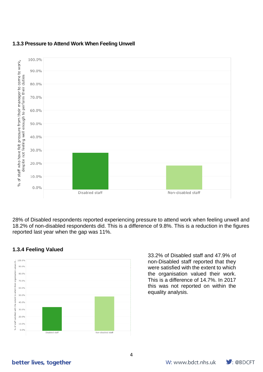

## **1.3.3 Pressure to Attend Work When Feeling Unwell**

28% of Disabled respondents reported experiencing pressure to attend work when feeling unwell and 18.2% of non-disabled respondents did. This is a difference of 9.8%. This is a reduction in the figures reported last year when the gap was 11%.

## **1.3.4 Feeling Valued**



33.2% of Disabled staff and 47.9% of non-Disabled staff reported that they were satisfied with the extent to which the organisation valued their work. This is a difference of 14.7%. In 2017 this was not reported on within the equality analysis.

## better lives, together

4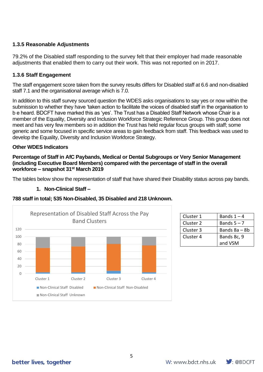## **1.3.5 Reasonable Adjustments**

79.2% of the Disabled staff responding to the survey felt that their employer had made reasonable adjustments that enabled them to carry out their work. This was not reported on in 2017.

## **1.3.6 Staff Engagement**

The staff engagement score taken from the survey results differs for Disabled staff at 6.6 and non-disabled staff 7.1 and the organisational average which is 7.0.

In addition to this staff survey sourced question the WDES asks organisations to say yes or now within the submission to whether they have 'taken action to facilitate the voices of disabled staff in the organisation to b e heard. BDCFT have marked this as 'yes'. The Trust has a Disabled Staff Network whose Chair is a member of the Equality, Diversity and Inclusion Workforce Strategic Reference Group. This group does not meet and has very few members so in addition the Trust has held regular focus groups with staff; some generic and some focused in specific service areas to gain feedback from staff. This feedback was used to develop the Equality, Diversity and Inclusion Workforce Strategy.

## **Other WDES Indicators**

**Percentage of Staff in AfC Paybands, Medical or Dental Subgroups or Very Senior Management (including Executive Board Members) compared with the percentage of staff in the overall workforce – snapshot 31st March 2019**

The tables below show the representation of staff that have shared their Disability status across pay bands.

#### **1. Non-Clinical Staff –**



| Cluster 1 | Bands $1 - 4$ |
|-----------|---------------|
| Cluster 2 | Bands $5 - 7$ |
| Cluster 3 | Bands 8a – 8b |
| Cluster 4 | Bands 8c, 9   |
|           | and VSM       |

## better lives, together